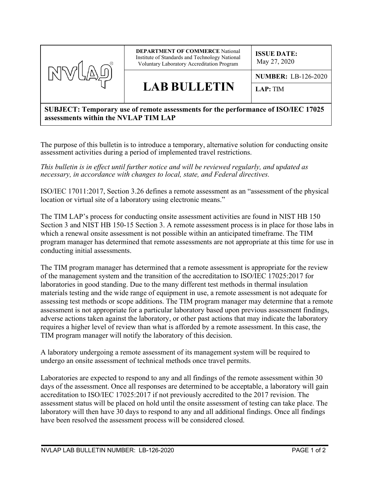

## **SUBJECT: Temporary use of remote assessments for the performance of ISO/IEC 17025 assessments within the NVLAP TIM LAP**

The purpose of this bulletin is to introduce a temporary, alternative solution for conducting onsite assessment activities during a period of implemented travel restrictions.

*This bulletin is in effect until further notice and will be reviewed regularly, and updated as necessary, in accordance with changes to local, state, and Federal directives.*

ISO/IEC 17011:2017, Section 3.26 defines a remote assessment as an "assessment of the physical location or virtual site of a laboratory using electronic means."

The TIM LAP's process for conducting onsite assessment activities are found in NIST HB 150 Section 3 and NIST HB 150-15 Section 3. A remote assessment process is in place for those labs in which a renewal onsite assessment is not possible within an anticipated timeframe. The TIM program manager has determined that remote assessments are not appropriate at this time for use in conducting initial assessments.

The TIM program manager has determined that a remote assessment is appropriate for the review of the management system and the transition of the accreditation to ISO/IEC 17025:2017 for laboratories in good standing. Due to the many different test methods in thermal insulation materials testing and the wide range of equipment in use, a remote assessment is not adequate for assessing test methods or scope additions. The TIM program manager may determine that a remote assessment is not appropriate for a particular laboratory based upon previous assessment findings, adverse actions taken against the laboratory, or other past actions that may indicate the laboratory requires a higher level of review than what is afforded by a remote assessment. In this case, the TIM program manager will notify the laboratory of this decision.

A laboratory undergoing a remote assessment of its management system will be required to undergo an onsite assessment of technical methods once travel permits.

Laboratories are expected to respond to any and all findings of the remote assessment within 30 days of the assessment. Once all responses are determined to be acceptable, a laboratory will gain accreditation to ISO/IEC 17025:2017 if not previously accredited to the 2017 revision. The assessment status will be placed on hold until the onsite assessment of testing can take place. The laboratory will then have 30 days to respond to any and all additional findings. Once all findings have been resolved the assessment process will be considered closed.